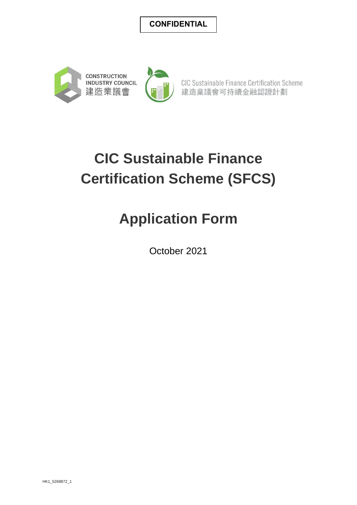### **CONFIDENTIAL**





CIC Sustainable Finance Certification Scheme 建造業議會可持續金融認證計劃

# **CIC Sustainable Finance Certification Scheme (SFCS)**

# **Application Form**

October 2021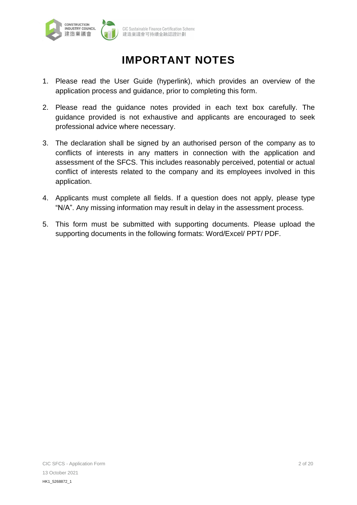

## **IMPORTANT NOTES**

- 1. Please read the User Guide (hyperlink), which provides an overview of the application process and guidance, prior to completing this form.
- 2. Please read the guidance notes provided in each text box carefully. The guidance provided is not exhaustive and applicants are encouraged to seek professional advice where necessary.
- 3. The declaration shall be signed by an authorised person of the company as to conflicts of interests in any matters in connection with the application and assessment of the SFCS. This includes reasonably perceived, potential or actual conflict of interests related to the company and its employees involved in this application.
- 4. Applicants must complete all fields. If a question does not apply, please type "N/A". Any missing information may result in delay in the assessment process.
- 5. This form must be submitted with supporting documents. Please upload the supporting documents in the following formats: Word/Excel/ PPT/ PDF.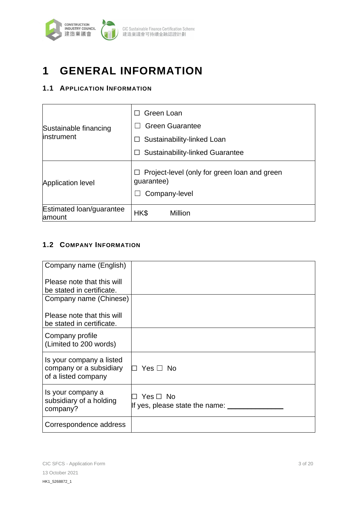

# **1 GENERAL INFORMATION**

### **1.1 APPLICATION INFORMATION**

| Sustainable financing<br>linstrument | Green Loan<br><b>Green Guarantee</b>                                        |  |
|--------------------------------------|-----------------------------------------------------------------------------|--|
|                                      | Sustainability-linked Loan                                                  |  |
|                                      | <b>Sustainability-linked Guarantee</b>                                      |  |
| <b>Application level</b>             | Project-level (only for green loan and green<br>guarantee)<br>Company-level |  |
| Estimated loan/guarantee<br>amount   | HK\$<br>Million                                                             |  |

### **1.2 COMPANY INFORMATION**

| Company name (English)                                                     |                                                     |
|----------------------------------------------------------------------------|-----------------------------------------------------|
| Please note that this will                                                 |                                                     |
| be stated in certificate.                                                  |                                                     |
| Company name (Chinese)                                                     |                                                     |
| Please note that this will<br>be stated in certificate.                    |                                                     |
| Company profile<br>(Limited to 200 words)                                  |                                                     |
| Is your company a listed<br>company or a subsidiary<br>of a listed company | Yes $\Box$ No                                       |
| Is your company a<br>subsidiary of a holding<br>company?                   | □ Yes □ No<br>If yes, please state the name: ______ |
| Correspondence address                                                     |                                                     |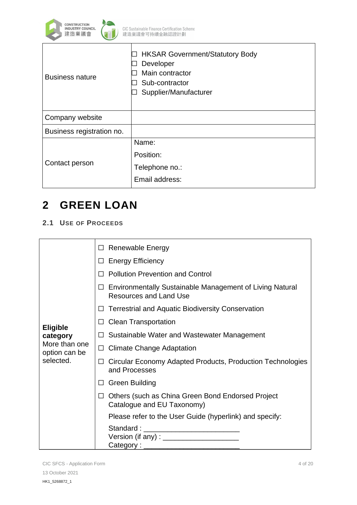

| <b>HKSAR Government/Statutory Body</b><br>Developer<br>Main contractor<br>Sub-contractor<br>Supplier/Manufacturer |
|-------------------------------------------------------------------------------------------------------------------|
|                                                                                                                   |
|                                                                                                                   |
| Name:                                                                                                             |
| Position:                                                                                                         |
| Telephone no.:                                                                                                    |
| Email address:                                                                                                    |
|                                                                                                                   |

# **2 GREEN LOAN**

### **2.1 USE OF PROCEEDS**

| <b>Eligible</b><br>category<br>More than one<br>option can be<br>selected. | <b>Renewable Energy</b><br>$\Box$                                                                     |
|----------------------------------------------------------------------------|-------------------------------------------------------------------------------------------------------|
|                                                                            | <b>Energy Efficiency</b><br>$\Box$                                                                    |
|                                                                            | <b>Pollution Prevention and Control</b>                                                               |
|                                                                            | <b>Environmentally Sustainable Management of Living Natural</b><br>⊔<br><b>Resources and Land Use</b> |
|                                                                            | <b>Terrestrial and Aquatic Biodiversity Conservation</b>                                              |
|                                                                            | <b>Clean Transportation</b><br>ப                                                                      |
|                                                                            | Sustainable Water and Wastewater Management<br>ப                                                      |
|                                                                            | □ Climate Change Adaptation                                                                           |
|                                                                            | Circular Economy Adapted Products, Production Technologies<br>and Processes                           |
|                                                                            | Green Building<br>ப                                                                                   |
|                                                                            | $\Box$ Others (such as China Green Bond Endorsed Project<br>Catalogue and EU Taxonomy)                |
|                                                                            | Please refer to the User Guide (hyperlink) and specify:                                               |
|                                                                            | Standard : ____________________________                                                               |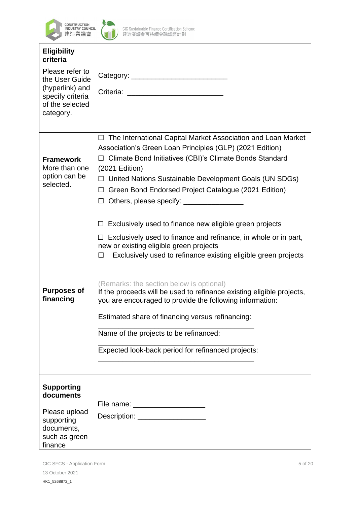



┱

CIC Sustainable Finance Certification Scheme<br>建造業議會可持續金融認證計劃

| <b>Eligibility</b><br>criteria                                                                           |                                                                                                                                                                                                                                                                                                                                                                                                                                                                                                                                                                                                      |
|----------------------------------------------------------------------------------------------------------|------------------------------------------------------------------------------------------------------------------------------------------------------------------------------------------------------------------------------------------------------------------------------------------------------------------------------------------------------------------------------------------------------------------------------------------------------------------------------------------------------------------------------------------------------------------------------------------------------|
| Please refer to<br>the User Guide<br>(hyperlink) and<br>specify criteria<br>of the selected<br>category. | Criteria:                                                                                                                                                                                                                                                                                                                                                                                                                                                                                                                                                                                            |
| <b>Framework</b><br>More than one<br>option can be<br>selected.                                          | □ The International Capital Market Association and Loan Market<br>Association's Green Loan Principles (GLP) (2021 Edition)<br>□ Climate Bond Initiatives (CBI)'s Climate Bonds Standard<br>$(2021$ Edition)<br>$\Box$ United Nations Sustainable Development Goals (UN SDGs)<br>Green Bond Endorsed Project Catalogue (2021 Edition)<br>$\Box$<br>Others, please specify: ___________________<br>$\Box$                                                                                                                                                                                              |
| <b>Purposes of</b><br>financing                                                                          | $\Box$ Exclusively used to finance new eligible green projects<br>$\Box$ Exclusively used to finance and refinance, in whole or in part,<br>new or existing eligible green projects<br>Exclusively used to refinance existing eligible green projects<br>$\Box$<br>(Remarks: the section below is optional)<br>If the proceeds will be used to refinance existing eligible projects,<br>you are encouraged to provide the following information:<br>Estimated share of financing versus refinancing:<br>Name of the projects to be refinanced:<br>Expected look-back period for refinanced projects: |
| <b>Supporting</b><br>documents<br>Please upload<br>supporting<br>documents,<br>such as green<br>finance  | File name: _____________________<br>Description: __________________                                                                                                                                                                                                                                                                                                                                                                                                                                                                                                                                  |

٦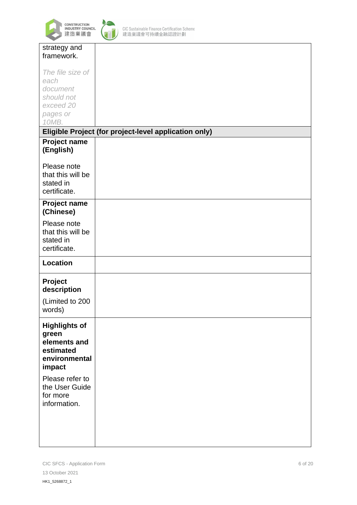



| strategy and         |                                                       |
|----------------------|-------------------------------------------------------|
| framework.           |                                                       |
|                      |                                                       |
| The file size of     |                                                       |
| each                 |                                                       |
| document             |                                                       |
| should not           |                                                       |
| exceed 20            |                                                       |
| pages or             |                                                       |
| 10MB.                |                                                       |
|                      |                                                       |
|                      | Eligible Project (for project-level application only) |
| <b>Project name</b>  |                                                       |
| (English)            |                                                       |
|                      |                                                       |
| Please note          |                                                       |
| that this will be    |                                                       |
| stated in            |                                                       |
|                      |                                                       |
| certificate.         |                                                       |
| <b>Project name</b>  |                                                       |
| (Chinese)            |                                                       |
|                      |                                                       |
| Please note          |                                                       |
| that this will be    |                                                       |
| stated in            |                                                       |
| certificate.         |                                                       |
| <b>Location</b>      |                                                       |
|                      |                                                       |
| Project              |                                                       |
| description          |                                                       |
|                      |                                                       |
| (Limited to 200      |                                                       |
| words)               |                                                       |
|                      |                                                       |
| <b>Highlights of</b> |                                                       |
| green                |                                                       |
| elements and         |                                                       |
| estimated            |                                                       |
| environmental        |                                                       |
| impact               |                                                       |
| Please refer to      |                                                       |
| the User Guide       |                                                       |
|                      |                                                       |
| for more             |                                                       |
| information.         |                                                       |
|                      |                                                       |
|                      |                                                       |
|                      |                                                       |
|                      |                                                       |
|                      |                                                       |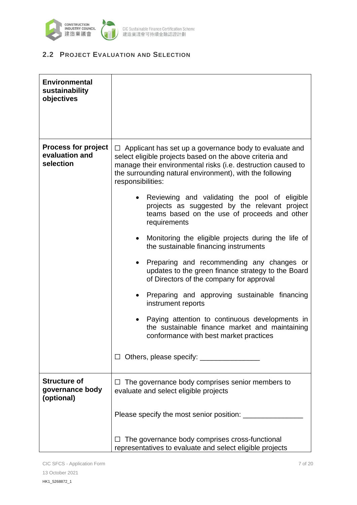

### **2.2 PROJECT EVALUATION AND SELECTION**

| <b>Environmental</b><br>sustainability<br>objectives      |                                                                                                                                                                                                                                                                                                                                                                                                                                                                                                                                                                                                                                                                                                                                                                                                                                                                                                                               |
|-----------------------------------------------------------|-------------------------------------------------------------------------------------------------------------------------------------------------------------------------------------------------------------------------------------------------------------------------------------------------------------------------------------------------------------------------------------------------------------------------------------------------------------------------------------------------------------------------------------------------------------------------------------------------------------------------------------------------------------------------------------------------------------------------------------------------------------------------------------------------------------------------------------------------------------------------------------------------------------------------------|
| <b>Process for project</b><br>evaluation and<br>selection | $\Box$ Applicant has set up a governance body to evaluate and<br>select eligible projects based on the above criteria and<br>manage their environmental risks (i.e. destruction caused to<br>the surrounding natural environment), with the following<br>responsibilities:<br>Reviewing and validating the pool of eligible<br>projects as suggested by the relevant project<br>teams based on the use of proceeds and other<br>requirements<br>Monitoring the eligible projects during the life of<br>the sustainable financing instruments<br>Preparing and recommending any changes or<br>$\bullet$<br>updates to the green finance strategy to the Board<br>of Directors of the company for approval<br>Preparing and approving sustainable financing<br>instrument reports<br>Paying attention to continuous developments in<br>the sustainable finance market and maintaining<br>conformance with best market practices |
| <b>Structure of</b><br>governance body<br>(optional)      | $\Box$ The governance body comprises senior members to<br>evaluate and select eligible projects                                                                                                                                                                                                                                                                                                                                                                                                                                                                                                                                                                                                                                                                                                                                                                                                                               |
|                                                           |                                                                                                                                                                                                                                                                                                                                                                                                                                                                                                                                                                                                                                                                                                                                                                                                                                                                                                                               |
|                                                           | The governance body comprises cross-functional<br>representatives to evaluate and select eligible projects                                                                                                                                                                                                                                                                                                                                                                                                                                                                                                                                                                                                                                                                                                                                                                                                                    |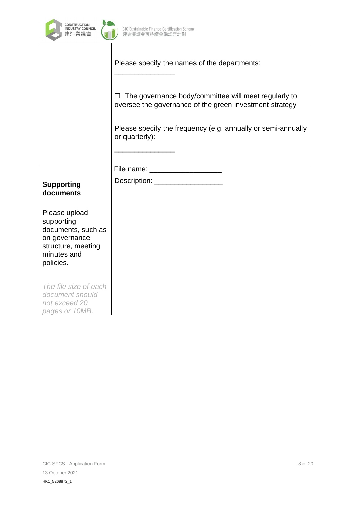

|                                                                                                                      | Please specify the names of the departments:                                                                         |
|----------------------------------------------------------------------------------------------------------------------|----------------------------------------------------------------------------------------------------------------------|
|                                                                                                                      | The governance body/committee will meet regularly to<br>П<br>oversee the governance of the green investment strategy |
|                                                                                                                      | Please specify the frequency (e.g. annually or semi-annually<br>or quarterly):                                       |
|                                                                                                                      | File name: ______________________                                                                                    |
| <b>Supporting</b><br>documents                                                                                       | Description: _____________________                                                                                   |
| Please upload<br>supporting<br>documents, such as<br>on governance<br>structure, meeting<br>minutes and<br>policies. |                                                                                                                      |
| The file size of each<br>document should<br>not exceed 20<br>pages or 10MB.                                          |                                                                                                                      |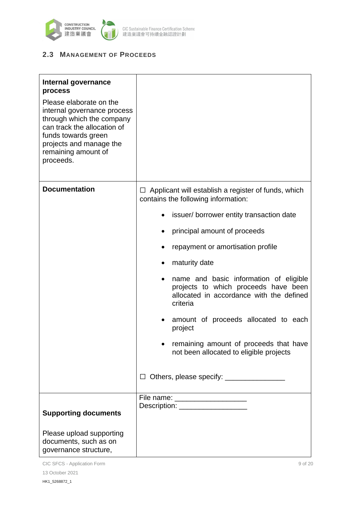

### **2.3 MANAGEMENT OF PROCEEDS**

| Internal governance<br>process<br>Please elaborate on the<br>internal governance process<br>through which the company<br>can track the allocation of<br>funds towards green<br>projects and manage the<br>remaining amount of<br>proceeds. |                                                                                                                                                                                                                                                                                                                                                                                                                                                                                                                              |
|--------------------------------------------------------------------------------------------------------------------------------------------------------------------------------------------------------------------------------------------|------------------------------------------------------------------------------------------------------------------------------------------------------------------------------------------------------------------------------------------------------------------------------------------------------------------------------------------------------------------------------------------------------------------------------------------------------------------------------------------------------------------------------|
| <b>Documentation</b>                                                                                                                                                                                                                       | Applicant will establish a register of funds, which<br>⊔<br>contains the following information:<br>issuer/borrower entity transaction date<br>principal amount of proceeds<br>repayment or amortisation profile<br>maturity date<br>name and basic information of eligible<br>projects to which proceeds have been<br>allocated in accordance with the defined<br>criteria<br>amount of proceeds allocated to each<br>project<br>remaining amount of proceeds that have<br>not been allocated to eligible projects<br>$\Box$ |
| <b>Supporting documents</b><br>Please upload supporting<br>documents, such as on<br>governance structure,                                                                                                                                  | File name: ____________________<br>Description: <u>New York Charles and State Charles and State Charles and State Charles and State Charles and State Charles and State Charles and State Charles and State Charles and State Charles and State Charles and State C</u>                                                                                                                                                                                                                                                      |

CIC SFCS - Application Form 9 of 20 13 October 2021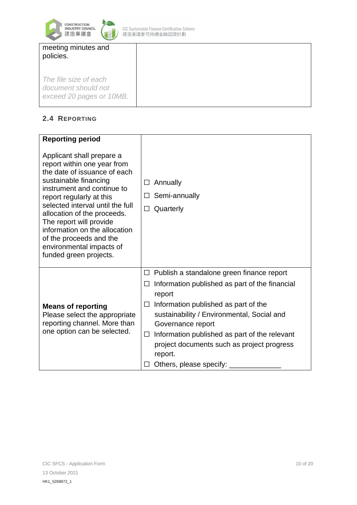

CIC Sustainable Finance Certification Scheme<br>建造業議會可持續金融認證計劃

| meeting minutes and |  |
|---------------------|--|
| policies.           |  |

*The file size of each document should not exceed 20 pages or 10MB.*

### **2.4 REPORTING**

| <b>Reporting period</b>                                                                                                                                                                                                                                                                                                                                                                     |                                                                                                                                                                                                                                                                                                                                                                                                 |
|---------------------------------------------------------------------------------------------------------------------------------------------------------------------------------------------------------------------------------------------------------------------------------------------------------------------------------------------------------------------------------------------|-------------------------------------------------------------------------------------------------------------------------------------------------------------------------------------------------------------------------------------------------------------------------------------------------------------------------------------------------------------------------------------------------|
| Applicant shall prepare a<br>report within one year from<br>the date of issuance of each<br>sustainable financing<br>instrument and continue to<br>report regularly at this<br>selected interval until the full<br>allocation of the proceeds.<br>The report will provide<br>information on the allocation<br>of the proceeds and the<br>environmental impacts of<br>funded green projects. | Annually<br>$\Box$<br>Semi-annually<br>$\Box$<br>Quarterly<br>$\Box$                                                                                                                                                                                                                                                                                                                            |
| <b>Means of reporting</b><br>Please select the appropriate<br>reporting channel. More than<br>one option can be selected.                                                                                                                                                                                                                                                                   | $\Box$ Publish a standalone green finance report<br>Information published as part of the financial<br>$\Box$<br>report<br>Information published as part of the<br>$\Box$<br>sustainability / Environmental, Social and<br>Governance report<br>Information published as part of the relevant<br>$\Box$<br>project documents such as project progress<br>report.<br>Others, please specify:<br>П |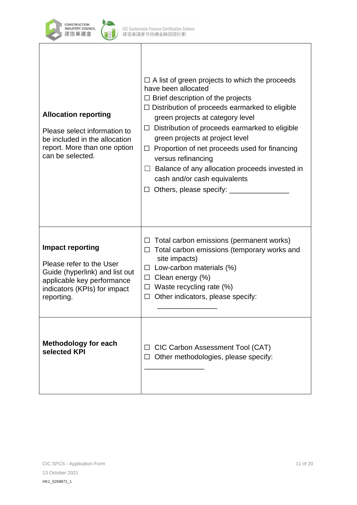

| <b>Allocation reporting</b><br>Please select information to<br>be included in the allocation<br>report. More than one option<br>can be selected.                  | $\Box$ A list of green projects to which the proceeds<br>have been allocated<br>$\Box$ Brief description of the projects<br>$\Box$ Distribution of proceeds earmarked to eligible<br>green projects at category level<br>$\Box$ Distribution of proceeds earmarked to eligible<br>green projects at project level<br>$\Box$ Proportion of net proceeds used for financing<br>versus refinancing<br>$\Box$ Balance of any allocation proceeds invested in<br>cash and/or cash equivalents |
|-------------------------------------------------------------------------------------------------------------------------------------------------------------------|------------------------------------------------------------------------------------------------------------------------------------------------------------------------------------------------------------------------------------------------------------------------------------------------------------------------------------------------------------------------------------------------------------------------------------------------------------------------------------------|
| <b>Impact reporting</b><br>Please refer to the User<br>Guide (hyperlink) and list out<br>applicable key performance<br>indicators (KPIs) for impact<br>reporting. | $\Box$ Total carbon emissions (permanent works)<br>Total carbon emissions (temporary works and<br>□<br>site impacts)<br>$\Box$ Low-carbon materials (%)<br>$\Box$ Clean energy (%)<br>$\Box$ Waste recycling rate (%)<br>$\Box$ Other indicators, please specify:                                                                                                                                                                                                                        |
| <b>Methodology for each</b><br>selected KPI                                                                                                                       | CIC Carbon Assessment Tool (CAT)<br>$\Box$<br>Other methodologies, please specify:                                                                                                                                                                                                                                                                                                                                                                                                       |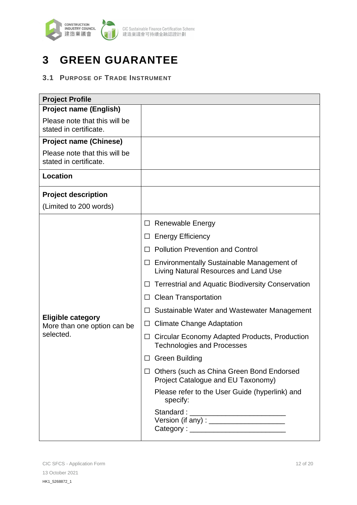

# **3 GREEN GUARANTEE**

### **3.1 PURPOSE OF TRADE INSTRUMENT**

| <b>Project Profile</b>                                  |                                                                                              |
|---------------------------------------------------------|----------------------------------------------------------------------------------------------|
| <b>Project name (English)</b>                           |                                                                                              |
| Please note that this will be<br>stated in certificate. |                                                                                              |
| <b>Project name (Chinese)</b>                           |                                                                                              |
| Please note that this will be<br>stated in certificate. |                                                                                              |
| <b>Location</b>                                         |                                                                                              |
| <b>Project description</b>                              |                                                                                              |
| (Limited to 200 words)                                  |                                                                                              |
|                                                         | Renewable Energy<br>ப                                                                        |
|                                                         | <b>Energy Efficiency</b><br>$\Box$                                                           |
|                                                         | <b>Pollution Prevention and Control</b>                                                      |
|                                                         | $\Box$ Environmentally Sustainable Management of<br>Living Natural Resources and Land Use    |
|                                                         | <b>Terrestrial and Aquatic Biodiversity Conservation</b><br>$\Box$                           |
|                                                         | <b>Clean Transportation</b><br>□                                                             |
|                                                         | Sustainable Water and Wastewater Management<br>ப                                             |
| <b>Eligible category</b><br>More than one option can be | <b>Climate Change Adaptation</b><br>$\Box$                                                   |
| selected.                                               | Circular Economy Adapted Products, Production<br>$\Box$<br><b>Technologies and Processes</b> |
|                                                         | <b>Green Building</b>                                                                        |
|                                                         | $\Box$ Others (such as China Green Bond Endorsed<br>Project Catalogue and EU Taxonomy)       |
|                                                         | Please refer to the User Guide (hyperlink) and<br>specify:                                   |
|                                                         | Standard : ___________________________                                                       |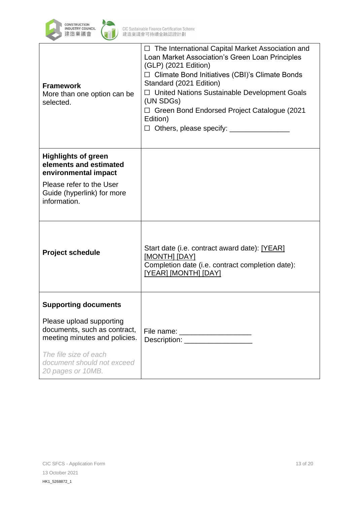

| <b>Framework</b><br>More than one option can be<br>selected.                              | $\Box$ The International Capital Market Association and<br>Loan Market Association's Green Loan Principles<br>(GLP) (2021 Edition)<br>$\Box$ Climate Bond Initiatives (CBI)'s Climate Bonds<br>Standard (2021 Edition)<br>□ United Nations Sustainable Development Goals<br>(UN SDGs)<br>□ Green Bond Endorsed Project Catalogue (2021<br>Edition)<br>□ Others, please specify: _______ |
|-------------------------------------------------------------------------------------------|-----------------------------------------------------------------------------------------------------------------------------------------------------------------------------------------------------------------------------------------------------------------------------------------------------------------------------------------------------------------------------------------|
| <b>Highlights of green</b><br>elements and estimated<br>environmental impact              |                                                                                                                                                                                                                                                                                                                                                                                         |
| Please refer to the User<br>Guide (hyperlink) for more<br>information.                    |                                                                                                                                                                                                                                                                                                                                                                                         |
| <b>Project schedule</b>                                                                   | Start date (i.e. contract award date): [YEAR]<br>[MONTH] [DAY]<br>Completion date (i.e. contract completion date):<br>[YEAR] [MONTH] [DAY]                                                                                                                                                                                                                                              |
| <b>Supporting documents</b>                                                               |                                                                                                                                                                                                                                                                                                                                                                                         |
| Please upload supporting<br>documents, such as contract,<br>meeting minutes and policies. | File name: _______________________<br>Description: <u>Description</u>                                                                                                                                                                                                                                                                                                                   |
| The file size of each<br>document should not exceed<br>20 pages or 10MB.                  |                                                                                                                                                                                                                                                                                                                                                                                         |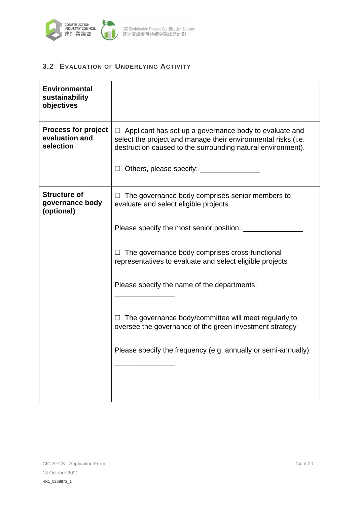

### **3.2 EVALUATION OF UNDERLYING ACTIVITY**

| <b>Environmental</b><br>sustainability<br>objectives      |                                                                                                                                                                                               |
|-----------------------------------------------------------|-----------------------------------------------------------------------------------------------------------------------------------------------------------------------------------------------|
| <b>Process for project</b><br>evaluation and<br>selection | $\Box$ Applicant has set up a governance body to evaluate and<br>select the project and manage their environmental risks (i.e.<br>destruction caused to the surrounding natural environment). |
|                                                           |                                                                                                                                                                                               |
| <b>Structure of</b><br>governance body<br>(optional)      | $\Box$ The governance body comprises senior members to<br>evaluate and select eligible projects                                                                                               |
|                                                           | Please specify the most senior position: ____                                                                                                                                                 |
|                                                           | $\Box$ The governance body comprises cross-functional<br>representatives to evaluate and select eligible projects                                                                             |
|                                                           | Please specify the name of the departments:                                                                                                                                                   |
|                                                           | $\Box$ The governance body/committee will meet regularly to<br>oversee the governance of the green investment strategy                                                                        |
|                                                           | Please specify the frequency (e.g. annually or semi-annually):                                                                                                                                |
|                                                           |                                                                                                                                                                                               |
|                                                           |                                                                                                                                                                                               |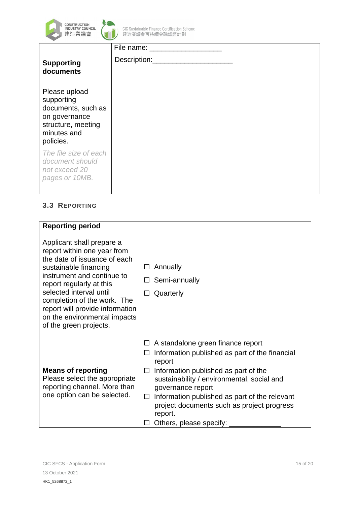



| <b>Supporting</b><br>documents                                                                                       |  |
|----------------------------------------------------------------------------------------------------------------------|--|
| Please upload<br>supporting<br>documents, such as<br>on governance<br>structure, meeting<br>minutes and<br>policies. |  |
| The file size of each<br>document should<br>not exceed 20<br>pages or 10MB.                                          |  |

### **3.3 REPORTING**

| <b>Reporting period</b>                                                                                                                                                                                                                                                                                                            |                                                                                                                                                                                                                                                                                                                                                                               |
|------------------------------------------------------------------------------------------------------------------------------------------------------------------------------------------------------------------------------------------------------------------------------------------------------------------------------------|-------------------------------------------------------------------------------------------------------------------------------------------------------------------------------------------------------------------------------------------------------------------------------------------------------------------------------------------------------------------------------|
|                                                                                                                                                                                                                                                                                                                                    |                                                                                                                                                                                                                                                                                                                                                                               |
| Applicant shall prepare a<br>report within one year from<br>the date of issuance of each<br>sustainable financing<br>instrument and continue to<br>report regularly at this<br>selected interval until<br>completion of the work. The<br>report will provide information<br>on the environmental impacts<br>of the green projects. | Annually<br>$\perp$<br>Semi-annually<br>П<br>Quarterly<br>□                                                                                                                                                                                                                                                                                                                   |
| <b>Means of reporting</b><br>Please select the appropriate<br>reporting channel. More than<br>one option can be selected.                                                                                                                                                                                                          | $\Box$ A standalone green finance report<br>Information published as part of the financial<br>⊔<br>report<br>Information published as part of the<br>$\Box$<br>sustainability / environmental, social and<br>governance report<br>Information published as part of the relevant<br>$\Box$<br>project documents such as project progress<br>report.<br>Others, please specify: |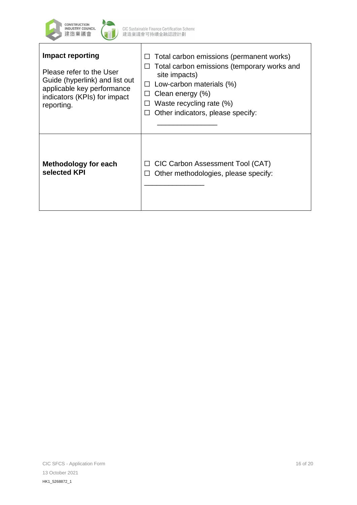

┱

| <b>Impact reporting</b><br>Please refer to the User<br>Guide (hyperlink) and list out<br>applicable key performance<br>indicators (KPIs) for impact<br>reporting. | Total carbon emissions (permanent works)<br>Total carbon emissions (temporary works and<br>site impacts)<br>Low-carbon materials (%)<br>$\perp$<br>Clean energy (%)<br>$\perp$<br>Waste recycling rate (%)<br>Other indicators, please specify: |
|-------------------------------------------------------------------------------------------------------------------------------------------------------------------|-------------------------------------------------------------------------------------------------------------------------------------------------------------------------------------------------------------------------------------------------|
| <b>Methodology for each</b>                                                                                                                                       | CIC Carbon Assessment Tool (CAT)                                                                                                                                                                                                                |
| selected KPI                                                                                                                                                      | Other methodologies, please specify:                                                                                                                                                                                                            |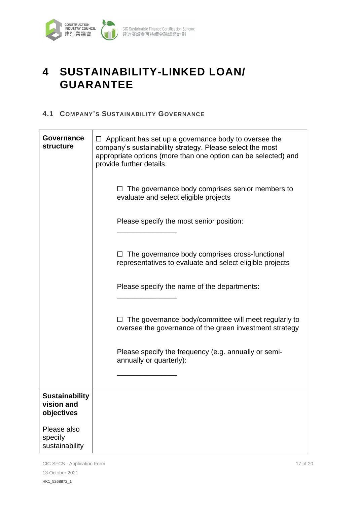

# **4 SUSTAINABILITY-LINKED LOAN/ GUARANTEE**

#### **4.1 COMPANY'S SUSTAINABILITY GOVERNANCE**

| Governance<br><b>structure</b>                    | Applicant has set up a governance body to oversee the<br>company's sustainability strategy. Please select the most<br>appropriate options (more than one option can be selected) and<br>provide further details. |  |
|---------------------------------------------------|------------------------------------------------------------------------------------------------------------------------------------------------------------------------------------------------------------------|--|
|                                                   | The governance body comprises senior members to<br>⊔<br>evaluate and select eligible projects                                                                                                                    |  |
|                                                   | Please specify the most senior position:                                                                                                                                                                         |  |
|                                                   | The governance body comprises cross-functional<br>representatives to evaluate and select eligible projects                                                                                                       |  |
|                                                   | Please specify the name of the departments:                                                                                                                                                                      |  |
|                                                   | The governance body/committee will meet regularly to<br>oversee the governance of the green investment strategy                                                                                                  |  |
|                                                   | Please specify the frequency (e.g. annually or semi-<br>annually or quarterly):                                                                                                                                  |  |
|                                                   |                                                                                                                                                                                                                  |  |
| <b>Sustainability</b><br>vision and<br>objectives |                                                                                                                                                                                                                  |  |
| Please also<br>specify<br>sustainability          |                                                                                                                                                                                                                  |  |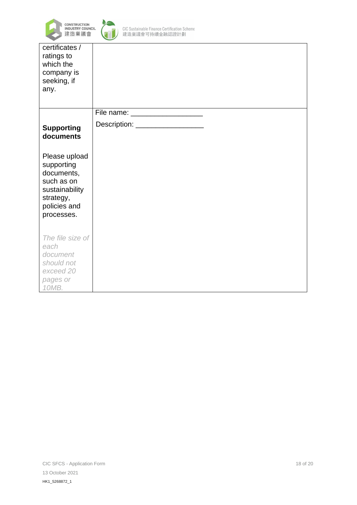



CIC Sustainable Finance Certification Scheme<br>建造業議會可持續金融認證計劃

| certificates /<br>ratings to<br>which the<br>company is<br>seeking, if<br>any.                                       |                                   |
|----------------------------------------------------------------------------------------------------------------------|-----------------------------------|
|                                                                                                                      | File name: _____________________  |
| <b>Supporting</b><br>documents                                                                                       | Description: ____________________ |
| Please upload<br>supporting<br>documents,<br>such as on<br>sustainability<br>strategy,<br>policies and<br>processes. |                                   |
| The file size of<br>each<br>document<br>should not<br>exceed 20<br>pages or<br>10MB.                                 |                                   |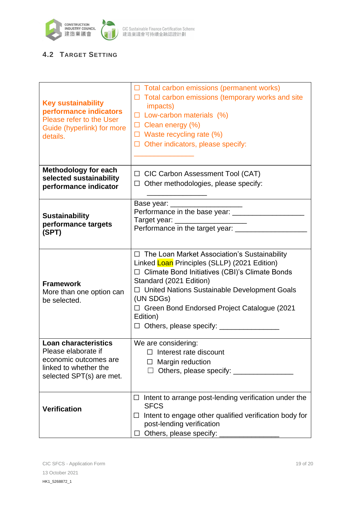

CIC Sustainable Finance Certification Scheme<br>建造業議會可持續金融認證計劃

### **4.2 TARGET SETTING**

| <b>Key sustainability</b><br>performance indicators<br>Please refer to the User<br>Guide (hyperlink) for more<br>details.        | $\Box$ Total carbon emissions (permanent works)<br>$\Box$ Total carbon emissions (temporary works and site<br>impacts)<br>$\Box$ Low-carbon materials (%)<br>$\Box$ Clean energy (%)<br>$\Box$ Waste recycling rate (%)<br>$\Box$ Other indicators, please specify:                                                 |
|----------------------------------------------------------------------------------------------------------------------------------|---------------------------------------------------------------------------------------------------------------------------------------------------------------------------------------------------------------------------------------------------------------------------------------------------------------------|
| <b>Methodology for each</b><br>selected sustainability<br>performance indicator                                                  | $\Box$ CIC Carbon Assessment Tool (CAT)<br>$\Box$ Other methodologies, please specify:                                                                                                                                                                                                                              |
| <b>Sustainability</b><br>performance targets<br>(SPT)                                                                            | Base year: ______________________<br>Performance in the base year: ________________<br>Target year: _____________________<br>Performance in the target year: ___                                                                                                                                                    |
| <b>Framework</b><br>More than one option can<br>be selected.                                                                     | $\Box$ The Loan Market Association's Sustainability<br>Linked Loan Principles (SLLP) (2021 Edition)<br>□ Climate Bond Initiatives (CBI)'s Climate Bonds<br>Standard (2021 Edition)<br>□ United Nations Sustainable Development Goals<br>(UN SDGs)<br>$\Box$ Green Bond Endorsed Project Catalogue (2021<br>Edition) |
| <b>Loan characteristics</b><br>Please elaborate if<br>economic outcomes are<br>linked to whether the<br>selected SPT(s) are met. | We are considering:<br>$\Box$ Interest rate discount<br>$\Box$ Margin reduction                                                                                                                                                                                                                                     |
| <b>Verification</b>                                                                                                              | $\Box$ Intent to arrange post-lending verification under the<br><b>SFCS</b><br>Intent to engage other qualified verification body for<br>⊔<br>post-lending verification<br>Others, please specify: ______                                                                                                           |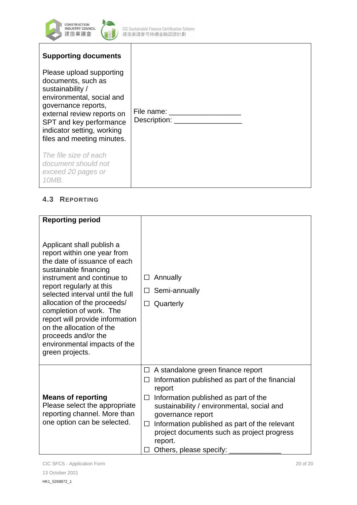

| <b>Supporting documents</b>                                                                                                                                                                                                                 |                                          |  |
|---------------------------------------------------------------------------------------------------------------------------------------------------------------------------------------------------------------------------------------------|------------------------------------------|--|
| Please upload supporting<br>documents, such as<br>sustainability /<br>environmental, social and<br>governance reports,<br>external review reports on<br>SPT and key performance<br>indicator setting, working<br>files and meeting minutes. | Description: <u>____________________</u> |  |
| The file size of each<br>document should not<br>exceed 20 pages or<br>10MB.                                                                                                                                                                 |                                          |  |

### **4.3 REPORTING**

| <b>Reporting period</b>                                                                                                                                                                                                                                                                                                                                                                                            |                                                                                                                                                                                                                                                                                                                                                                             |
|--------------------------------------------------------------------------------------------------------------------------------------------------------------------------------------------------------------------------------------------------------------------------------------------------------------------------------------------------------------------------------------------------------------------|-----------------------------------------------------------------------------------------------------------------------------------------------------------------------------------------------------------------------------------------------------------------------------------------------------------------------------------------------------------------------------|
| Applicant shall publish a<br>report within one year from<br>the date of issuance of each<br>sustainable financing<br>instrument and continue to<br>report regularly at this<br>selected interval until the full<br>allocation of the proceeds/<br>completion of work. The<br>report will provide information<br>on the allocation of the<br>proceeds and/or the<br>environmental impacts of the<br>green projects. | Annually<br>$\Box$<br>Semi-annually<br>$\Box$<br>Quarterly<br>□                                                                                                                                                                                                                                                                                                             |
| <b>Means of reporting</b><br>Please select the appropriate<br>reporting channel. More than<br>one option can be selected.                                                                                                                                                                                                                                                                                          | A standalone green finance report<br>$\Box$<br>Information published as part of the financial<br>⊔<br>report<br>Information published as part of the<br>$\Box$<br>sustainability / environmental, social and<br>governance report<br>Information published as part of the relevant<br>□<br>project documents such as project progress<br>report.<br>Others, please specify: |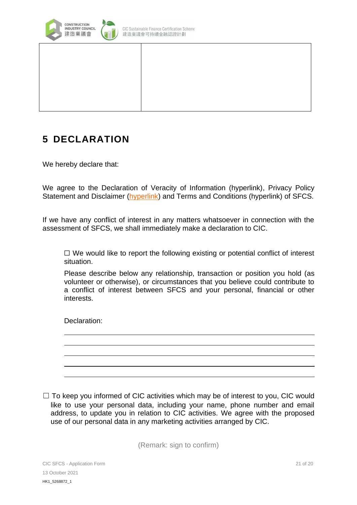

### **5 DECLARATION**

We hereby declare that:

We agree to the Declaration of Veracity of Information (hyperlink), Privacy Policy Statement and Disclaimer [\(hyperlink\)](http://www.cic.hk/eng/main/disclaimer/) and Terms and Conditions (hyperlink) of SFCS.

If we have any conflict of interest in any matters whatsoever in connection with the assessment of SFCS, we shall immediately make a declaration to CIC.

 $\Box$  We would like to report the following existing or potential conflict of interest situation.

Please describe below any relationship, transaction or position you hold (as volunteer or otherwise), or circumstances that you believe could contribute to a conflict of interest between SFCS and your personal, financial or other interests.

Declaration:

 $\Box$  To keep you informed of CIC activities which may be of interest to you, CIC would like to use your personal data, including your name, phone number and email address, to update you in relation to CIC activities. We agree with the proposed use of our personal data in any marketing activities arranged by CIC.

(Remark: sign to confirm)